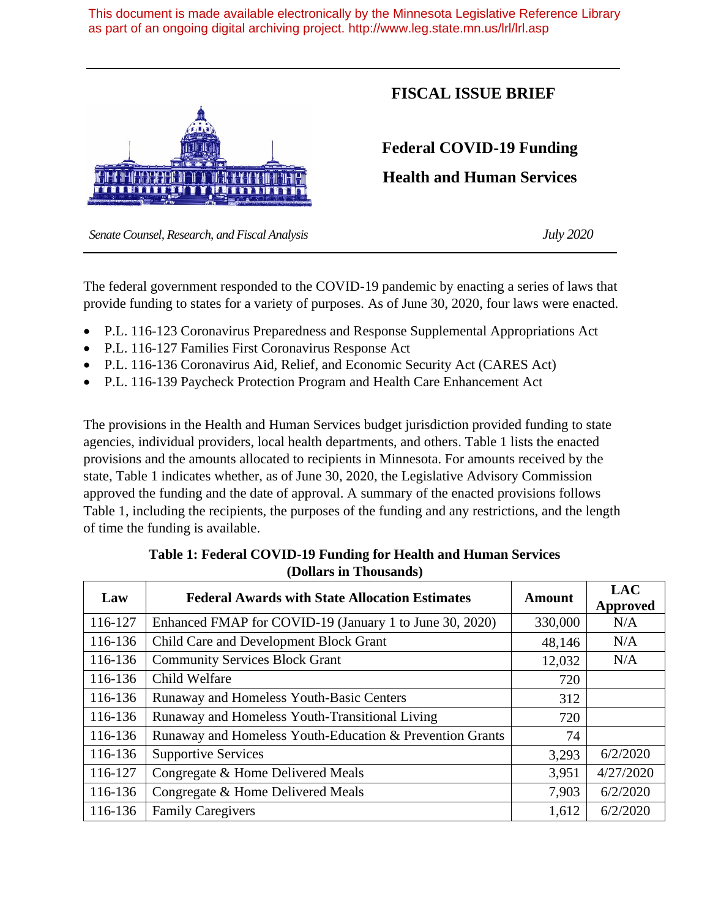This document is made available electronically by the Minnesota Legislative Reference Library as part of an ongoing digital archiving project. http://www.leg.state.mn.us/lrl/lrl.asp



## **FISCAL ISSUE BRIEF**

**Federal COVID-19 Funding**

**Health and Human Services**

 *Senate Counsel, Research, and Fiscal Analysis July 2020*

The federal government responded to the COVID-19 pandemic by enacting a series of laws that provide funding to states for a variety of purposes. As of June 30, 2020, four laws were enacted.

- P.L. 116-123 Coronavirus Preparedness and Response Supplemental Appropriations Act
- P.L. 116-127 Families First Coronavirus Response Act
- P.L. 116-136 Coronavirus Aid, Relief, and Economic Security Act (CARES Act)
- P.L. 116-139 Paycheck Protection Program and Health Care Enhancement Act

The provisions in the Health and Human Services budget jurisdiction provided funding to state agencies, individual providers, local health departments, and others. Table 1 lists the enacted provisions and the amounts allocated to recipients in Minnesota. For amounts received by the state, Table 1 indicates whether, as of June 30, 2020, the Legislative Advisory Commission approved the funding and the date of approval. A summary of the enacted provisions follows Table 1, including the recipients, the purposes of the funding and any restrictions, and the length of time the funding is available.

| Law     | <b>Federal Awards with State Allocation Estimates</b>    | <b>Amount</b> | <b>LAC</b><br><b>Approved</b> |
|---------|----------------------------------------------------------|---------------|-------------------------------|
| 116-127 | Enhanced FMAP for COVID-19 (January 1 to June 30, 2020)  | 330,000       | N/A                           |
| 116-136 | Child Care and Development Block Grant                   | 48,146        | N/A                           |
| 116-136 | <b>Community Services Block Grant</b>                    | 12,032        | N/A                           |
| 116-136 | Child Welfare                                            | 720           |                               |
| 116-136 | Runaway and Homeless Youth-Basic Centers                 | 312           |                               |
| 116-136 | Runaway and Homeless Youth-Transitional Living           | 720           |                               |
| 116-136 | Runaway and Homeless Youth-Education & Prevention Grants | 74            |                               |
| 116-136 | <b>Supportive Services</b>                               | 3,293         | 6/2/2020                      |
| 116-127 | Congregate & Home Delivered Meals                        | 3,951         | 4/27/2020                     |
| 116-136 | Congregate & Home Delivered Meals                        | 7,903         | 6/2/2020                      |
| 116-136 | <b>Family Caregivers</b>                                 | 1,612         | 6/2/2020                      |

## **Table 1: Federal COVID-19 Funding for Health and Human Services (Dollars in Thousands)**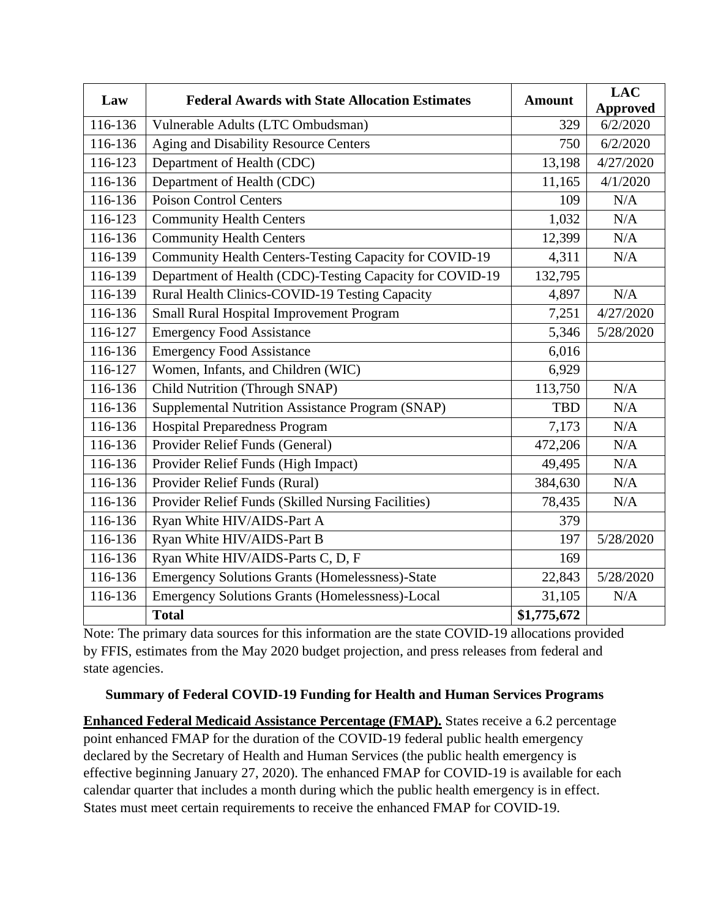| Law     | <b>Federal Awards with State Allocation Estimates</b>    | <b>Amount</b> | <b>LAC</b><br><b>Approved</b> |
|---------|----------------------------------------------------------|---------------|-------------------------------|
| 116-136 | Vulnerable Adults (LTC Ombudsman)                        | 329           | $\frac{6}{2}$ /2/2020         |
| 116-136 | Aging and Disability Resource Centers                    | 750           | 6/2/2020                      |
| 116-123 | Department of Health (CDC)                               | 13,198        | 4/27/2020                     |
| 116-136 | Department of Health (CDC)                               | 11,165        | 4/1/2020                      |
| 116-136 | <b>Poison Control Centers</b>                            | 109           | N/A                           |
| 116-123 | <b>Community Health Centers</b>                          | 1,032         | N/A                           |
| 116-136 | <b>Community Health Centers</b>                          | 12,399        | N/A                           |
| 116-139 | Community Health Centers-Testing Capacity for COVID-19   | 4,311         | N/A                           |
| 116-139 | Department of Health (CDC)-Testing Capacity for COVID-19 | 132,795       |                               |
| 116-139 | Rural Health Clinics-COVID-19 Testing Capacity           | 4,897         | N/A                           |
| 116-136 | Small Rural Hospital Improvement Program                 | 7,251         | 4/27/2020                     |
| 116-127 | <b>Emergency Food Assistance</b>                         | 5,346         | 5/28/2020                     |
| 116-136 | <b>Emergency Food Assistance</b>                         | 6,016         |                               |
| 116-127 | Women, Infants, and Children (WIC)                       | 6,929         |                               |
| 116-136 | Child Nutrition (Through SNAP)                           | 113,750       | N/A                           |
| 116-136 | Supplemental Nutrition Assistance Program (SNAP)         | <b>TBD</b>    | N/A                           |
| 116-136 | <b>Hospital Preparedness Program</b>                     | 7,173         | N/A                           |
| 116-136 | Provider Relief Funds (General)                          | 472,206       | N/A                           |
| 116-136 | Provider Relief Funds (High Impact)                      | 49,495        | N/A                           |
| 116-136 | Provider Relief Funds (Rural)                            | 384,630       | N/A                           |
| 116-136 | Provider Relief Funds (Skilled Nursing Facilities)       | 78,435        | N/A                           |
| 116-136 | Ryan White HIV/AIDS-Part A                               | 379           |                               |
| 116-136 | Ryan White HIV/AIDS-Part B                               | 197           | 5/28/2020                     |
| 116-136 | Ryan White HIV/AIDS-Parts C, D, F                        | 169           |                               |
| 116-136 | <b>Emergency Solutions Grants (Homelessness)-State</b>   | 22,843        | 5/28/2020                     |
| 116-136 | <b>Emergency Solutions Grants (Homelessness)-Local</b>   | 31,105        | N/A                           |
|         | <b>Total</b>                                             | \$1,775,672   |                               |

Note: The primary data sources for this information are the state COVID-19 allocations provided by FFIS, estimates from the May 2020 budget projection, and press releases from federal and state agencies.

## **Summary of Federal COVID-19 Funding for Health and Human Services Programs**

**Enhanced Federal Medicaid Assistance Percentage (FMAP).** States receive a 6.2 percentage point enhanced FMAP for the duration of the COVID-19 federal public health emergency declared by the Secretary of Health and Human Services (the public health emergency is effective beginning January 27, 2020). The enhanced FMAP for COVID-19 is available for each calendar quarter that includes a month during which the public health emergency is in effect. States must meet certain requirements to receive the enhanced FMAP for COVID-19.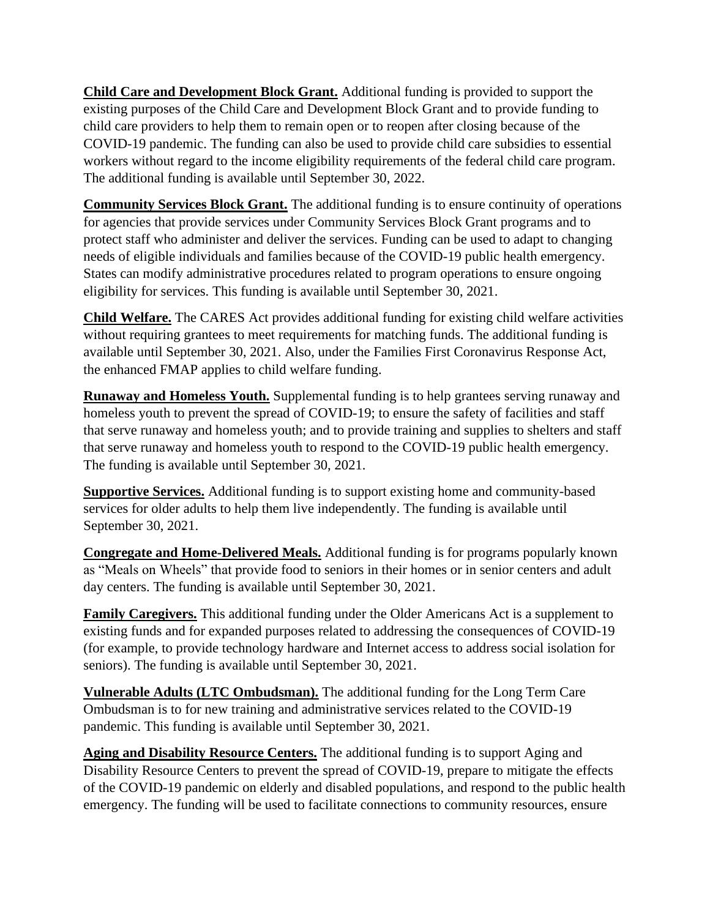**Child Care and Development Block Grant.** Additional funding is provided to support the existing purposes of the Child Care and Development Block Grant and to provide funding to child care providers to help them to remain open or to reopen after closing because of the COVID-19 pandemic. The funding can also be used to provide child care subsidies to essential workers without regard to the income eligibility requirements of the federal child care program. The additional funding is available until September 30, 2022.

**Community Services Block Grant.** The additional funding is to ensure continuity of operations for agencies that provide services under Community Services Block Grant programs and to protect staff who administer and deliver the services. Funding can be used to adapt to changing needs of eligible individuals and families because of the COVID-19 public health emergency. States can modify administrative procedures related to program operations to ensure ongoing eligibility for services. This funding is available until September 30, 2021.

**Child Welfare.** The CARES Act provides additional funding for existing child welfare activities without requiring grantees to meet requirements for matching funds. The additional funding is available until September 30, 2021. Also, under the Families First Coronavirus Response Act, the enhanced FMAP applies to child welfare funding.

**Runaway and Homeless Youth.** Supplemental funding is to help grantees serving runaway and homeless youth to prevent the spread of COVID-19; to ensure the safety of facilities and staff that serve runaway and homeless youth; and to provide training and supplies to shelters and staff that serve runaway and homeless youth to respond to the COVID-19 public health emergency. The funding is available until September 30, 2021.

**Supportive Services.** Additional funding is to support existing home and community-based services for older adults to help them live independently. The funding is available until September 30, 2021.

**Congregate and Home-Delivered Meals.** Additional funding is for programs popularly known as "Meals on Wheels" that provide food to seniors in their homes or in senior centers and adult day centers. The funding is available until September 30, 2021.

**Family Caregivers.** This additional funding under the Older Americans Act is a supplement to existing funds and for expanded purposes related to addressing the consequences of COVID-19 (for example, to provide technology hardware and Internet access to address social isolation for seniors). The funding is available until September 30, 2021.

**Vulnerable Adults (LTC Ombudsman).** The additional funding for the Long Term Care Ombudsman is to for new training and administrative services related to the COVID-19 pandemic. This funding is available until September 30, 2021.

**Aging and Disability Resource Centers.** The additional funding is to support Aging and Disability Resource Centers to prevent the spread of COVID-19, prepare to mitigate the effects of the COVID-19 pandemic on elderly and disabled populations, and respond to the public health emergency. The funding will be used to facilitate connections to community resources, ensure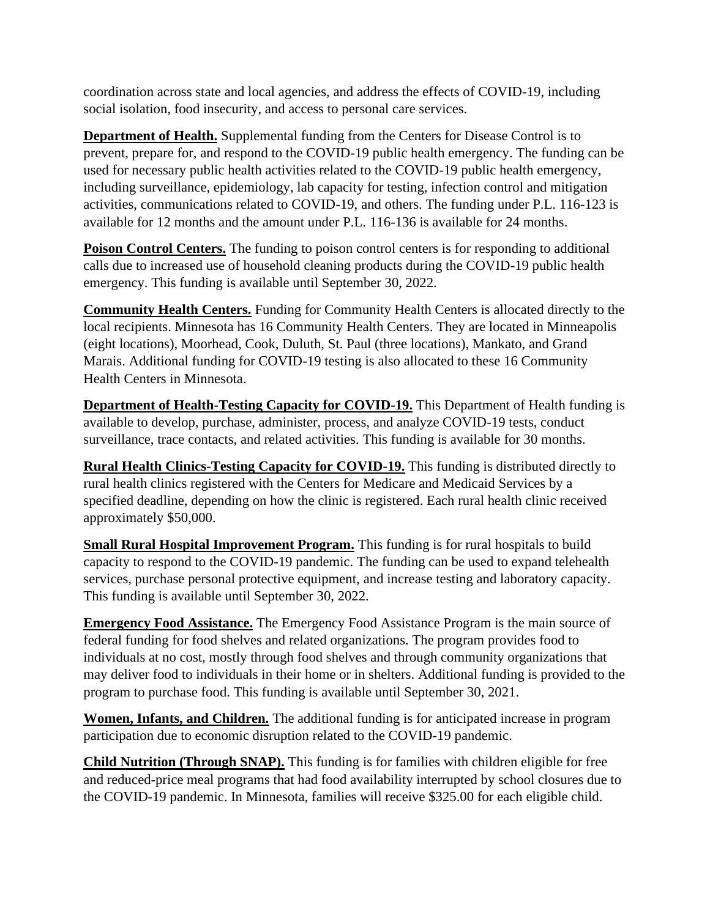coordination across state and local agencies, and address the effects of COVID-19, including social isolation, food insecurity, and access to personal care services.

**Department of Health.** Supplemental funding from the Centers for Disease Control is to prevent, prepare for, and respond to the COVID-19 public health emergency. The funding can be used for necessary public health activities related to the COVID-19 public health emergency, including surveillance, epidemiology, lab capacity for testing, infection control and mitigation activities, communications related to COVID-19, and others. The funding under P.L. 116-123 is available for 12 months and the amount under P.L. 116-136 is available for 24 months.

**Poison Control Centers.** The funding to poison control centers is for responding to additional calls due to increased use of household cleaning products during the COVID-19 public health emergency. This funding is available until September 30, 2022.

**Community Health Centers.** Funding for Community Health Centers is allocated directly to the local recipients. Minnesota has 16 Community Health Centers. They are located in Minneapolis (eight locations), Moorhead, Cook, Duluth, St. Paul (three locations), Mankato, and Grand Marais. Additional funding for COVID-19 testing is also allocated to these 16 Community Health Centers in Minnesota.

**Department of Health-Testing Capacity for COVID-19.** This Department of Health funding is available to develop, purchase, administer, process, and analyze COVID-19 tests, conduct surveillance, trace contacts, and related activities. This funding is available for 30 months.

**Rural Health Clinics-Testing Capacity for COVID-19.** This funding is distributed directly to rural health clinics registered with the Centers for Medicare and Medicaid Services by a specified deadline, depending on how the clinic is registered. Each rural health clinic received approximately \$50,000.

**Small Rural Hospital Improvement Program.** This funding is for rural hospitals to build capacity to respond to the COVID-19 pandemic. The funding can be used to expand telehealth services, purchase personal protective equipment, and increase testing and laboratory capacity. This funding is available until September 30, 2022.

**Emergency Food Assistance.** The Emergency Food Assistance Program is the main source of federal funding for food shelves and related organizations. The program provides food to individuals at no cost, mostly through food shelves and through community organizations that may deliver food to individuals in their home or in shelters. Additional funding is provided to the program to purchase food. This funding is available until September 30, 2021.

**Women, Infants, and Children.** The additional funding is for anticipated increase in program participation due to economic disruption related to the COVID-19 pandemic.

**Child Nutrition (Through SNAP).** This funding is for families with children eligible for free and reduced-price meal programs that had food availability interrupted by school closures due to the COVID-19 pandemic. In Minnesota, families will receive \$325.00 for each eligible child.